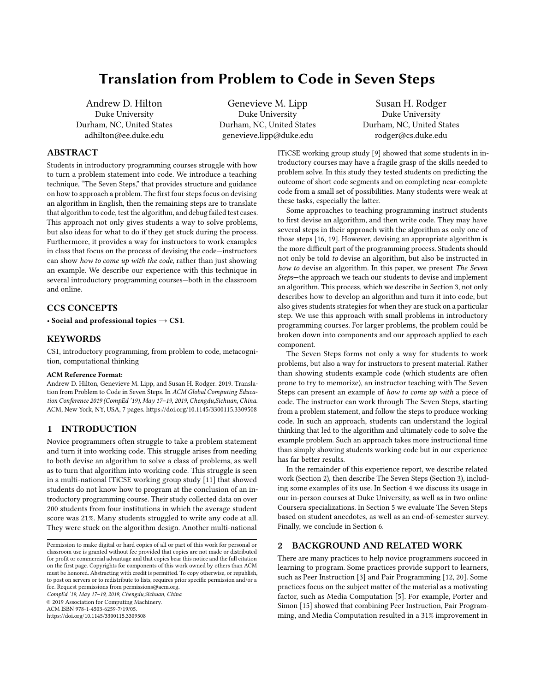# Translation from Problem to Code in Seven Steps

Andrew D. Hilton Duke University Durham, NC, United States adhilton@ee.duke.edu

Genevieve M. Lipp Duke University Durham, NC, United States genevieve.lipp@duke.edu

Susan H. Rodger Duke University Durham, NC, United States rodger@cs.duke.edu

# ABSTRACT

Students in introductory programming courses struggle with how to turn a problem statement into code. We introduce a teaching technique, "The Seven Steps," that provides structure and guidance on how to approach a problem. The first four steps focus on devising an algorithm in English, then the remaining steps are to translate that algorithm to code, test the algorithm, and debug failed test cases. This approach not only gives students a way to solve problems, but also ideas for what to do if they get stuck during the process. Furthermore, it provides a way for instructors to work examples in class that focus on the process of devising the code—instructors can show how to come up with the code, rather than just showing an example. We describe our experience with this technique in several introductory programming courses—both in the classroom and online.

# CCS CONCEPTS

• Social and professional topics  $\rightarrow$  CS1.

## **KEYWORDS**

CS1, introductory programming, from problem to code, metacognition, computational thinking

#### ACM Reference Format:

Andrew D. Hilton, Genevieve M. Lipp, and Susan H. Rodger. 2019. Translation from Problem to Code in Seven Steps. In ACM Global Computing Education Conference 2019 (CompEd '19), May 17–19, 2019, Chengdu,Sichuan, China. ACM, New York, NY, USA, [7](#page-6-0) pages.<https://doi.org/10.1145/3300115.3309508>

# 1 INTRODUCTION

Novice programmers often struggle to take a problem statement and turn it into working code. This struggle arises from needing to both devise an algorithm to solve a class of problems, as well as to turn that algorithm into working code. This struggle is seen in a multi-national ITiCSE working group study [\[11\]](#page-6-1) that showed students do not know how to program at the conclusion of an introductory programming course. Their study collected data on over 200 students from four institutions in which the average student score was 21%. Many students struggled to write any code at all. They were stuck on the algorithm design. Another multi-national

CompEd '19, May 17–19, 2019, Chengdu,Sichuan, China © 2019 Association for Computing Machinery. ACM ISBN 978-1-4503-6259-7/19/05.

<https://doi.org/10.1145/3300115.3309508>

ITiCSE working group study [\[9\]](#page-6-2) showed that some students in introductory courses may have a fragile grasp of the skills needed to problem solve. In this study they tested students on predicting the outcome of short code segments and on completing near-complete code from a small set of possibilities. Many students were weak at these tasks, especially the latter.

Some approaches to teaching programming instruct students to first devise an algorithm, and then write code. They may have several steps in their approach with the algorithm as only one of those steps [\[16,](#page-6-3) [19\]](#page-6-4). However, devising an appropriate algorithm is the more difficult part of the programming process. Students should not only be told to devise an algorithm, but also be instructed in how to devise an algorithm. In this paper, we present The Seven Steps—the approach we teach our students to devise and implement an algorithm. This process, which we describe in Section [3,](#page-1-0) not only describes how to develop an algorithm and turn it into code, but also gives students strategies for when they are stuck on a particular step. We use this approach with small problems in introductory programming courses. For larger problems, the problem could be broken down into components and our approach applied to each component.

The Seven Steps forms not only a way for students to work problems, but also a way for instructors to present material. Rather than showing students example code (which students are often prone to try to memorize), an instructor teaching with The Seven Steps can present an example of how to come up with a piece of code. The instructor can work through The Seven Steps, starting from a problem statement, and follow the steps to produce working code. In such an approach, students can understand the logical thinking that led to the algorithm and ultimately code to solve the example problem. Such an approach takes more instructional time than simply showing students working code but in our experience has far better results.

In the remainder of this experience report, we describe related work (Section [2\)](#page-0-0), then describe The Seven Steps (Section [3\)](#page-1-0), including some examples of its use. In Section [4](#page-3-0) we discuss its usage in our in-person courses at Duke University, as well as in two online Coursera specializations. In Section [5](#page-4-0) we evaluate The Seven Steps based on student anecdotes, as well as an end-of-semester survey. Finally, we conclude in Section [6.](#page-5-0)

## <span id="page-0-0"></span>2 BACKGROUND AND RELATED WORK

There are many practices to help novice programmers succeed in learning to program. Some practices provide support to learners, such as Peer Instruction [\[3\]](#page-6-5) and Pair Programming [\[12,](#page-6-6) [20\]](#page-6-7). Some practices focus on the subject matter of the material as a motivating factor, such as Media Computation [\[5\]](#page-6-8). For example, Porter and Simon [\[15\]](#page-6-9) showed that combining Peer Instruction, Pair Programming, and Media Computation resulted in a 31% improvement in

Permission to make digital or hard copies of all or part of this work for personal or classroom use is granted without fee provided that copies are not made or distributed for profit or commercial advantage and that copies bear this notice and the full citation on the first page. Copyrights for components of this work owned by others than ACM must be honored. Abstracting with credit is permitted. To copy otherwise, or republish, to post on servers or to redistribute to lists, requires prior specific permission and/or a fee. Request permissions from permissions@acm.org.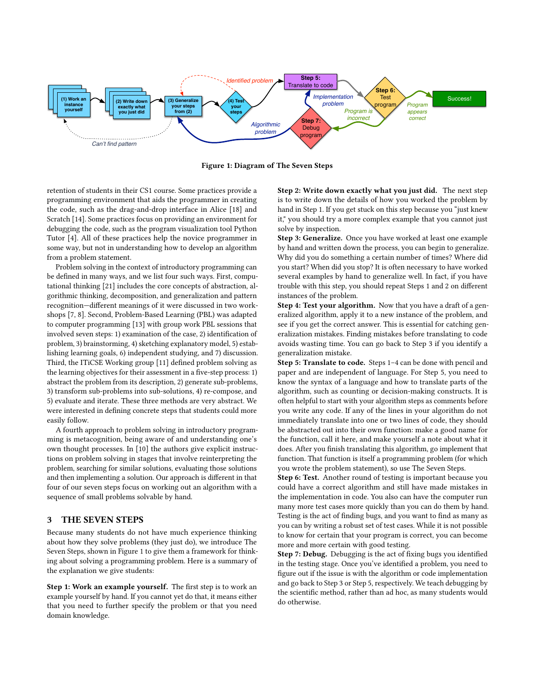<span id="page-1-1"></span>

Figure 1: Diagram of The Seven Steps

retention of students in their CS1 course. Some practices provide a programming environment that aids the programmer in creating the code, such as the drag-and-drop interface in Alice [\[18\]](#page-6-10) and Scratch [\[14\]](#page-6-11). Some practices focus on providing an environment for debugging the code, such as the program visualization tool Python Tutor [\[4\]](#page-6-12). All of these practices help the novice programmer in some way, but not in understanding how to develop an algorithm from a problem statement.

Problem solving in the context of introductory programming can be defined in many ways, and we list four such ways. First, computational thinking [\[21\]](#page-6-13) includes the core concepts of abstraction, algorithmic thinking, decomposition, and generalization and pattern recognition—different meanings of it were discussed in two workshops [\[7,](#page-6-14) [8\]](#page-6-15). Second, Problem-Based Learning (PBL) was adapted to computer programming [\[13\]](#page-6-16) with group work PBL sessions that involved seven steps: 1) examination of the case, 2) identification of problem, 3) brainstorming, 4) sketching explanatory model, 5) establishing learning goals, 6) independent studying, and 7) discussion. Third, the ITiCSE Working group [\[11\]](#page-6-1) defined problem solving as the learning objectives for their assessment in a five-step process: 1) abstract the problem from its description, 2) generate sub-problems, 3) transform sub-problems into sub-solutions, 4) re-compose, and 5) evaluate and iterate. These three methods are very abstract. We were interested in defining concrete steps that students could more easily follow.

A fourth approach to problem solving in introductory programming is metacognition, being aware of and understanding one's own thought processes. In [\[10\]](#page-6-17) the authors give explicit instructions on problem solving in stages that involve reinterpreting the problem, searching for similar solutions, evaluating those solutions and then implementing a solution. Our approach is different in that four of our seven steps focus on working out an algorithm with a sequence of small problems solvable by hand.

# <span id="page-1-0"></span>3 THE SEVEN STEPS

Because many students do not have much experience thinking about how they solve problems (they just do), we introduce The Seven Steps, shown in Figure [1](#page-1-1) to give them a framework for thinking about solving a programming problem. Here is a summary of the explanation we give students:

Step 1: Work an example yourself. The first step is to work an example yourself by hand. If you cannot yet do that, it means either that you need to further specify the problem or that you need domain knowledge.

Step 2: Write down exactly what you just did. The next step is to write down the details of how you worked the problem by hand in Step 1. If you get stuck on this step because you "just knew it," you should try a more complex example that you cannot just solve by inspection.

Step 3: Generalize. Once you have worked at least one example by hand and written down the process, you can begin to generalize. Why did you do something a certain number of times? Where did you start? When did you stop? It is often necessary to have worked several examples by hand to generalize well. In fact, if you have trouble with this step, you should repeat Steps 1 and 2 on different instances of the problem.

Step 4: Test your algorithm. Now that you have a draft of a generalized algorithm, apply it to a new instance of the problem, and see if you get the correct answer. This is essential for catching generalization mistakes. Finding mistakes before translating to code avoids wasting time. You can go back to Step 3 if you identify a generalization mistake.

Step 5: Translate to code. Steps 1–4 can be done with pencil and paper and are independent of language. For Step 5, you need to know the syntax of a language and how to translate parts of the algorithm, such as counting or decision-making constructs. It is often helpful to start with your algorithm steps as comments before you write any code. If any of the lines in your algorithm do not immediately translate into one or two lines of code, they should be abstracted out into their own function: make a good name for the function, call it here, and make yourself a note about what it does. After you finish translating this algorithm, go implement that function. That function is itself a programming problem (for which you wrote the problem statement), so use The Seven Steps.

Step 6: Test. Another round of testing is important because you could have a correct algorithm and still have made mistakes in the implementation in code. You also can have the computer run many more test cases more quickly than you can do them by hand. Testing is the act of finding bugs, and you want to find as many as you can by writing a robust set of test cases. While it is not possible to know for certain that your program is correct, you can become more and more certain with good testing.

Step 7: Debug. Debugging is the act of fixing bugs you identified in the testing stage. Once you've identified a problem, you need to figure out if the issue is with the algorithm or code implementation and go back to Step 3 or Step 5, respectively. We teach debugging by the scientific method, rather than ad hoc, as many students would do otherwise.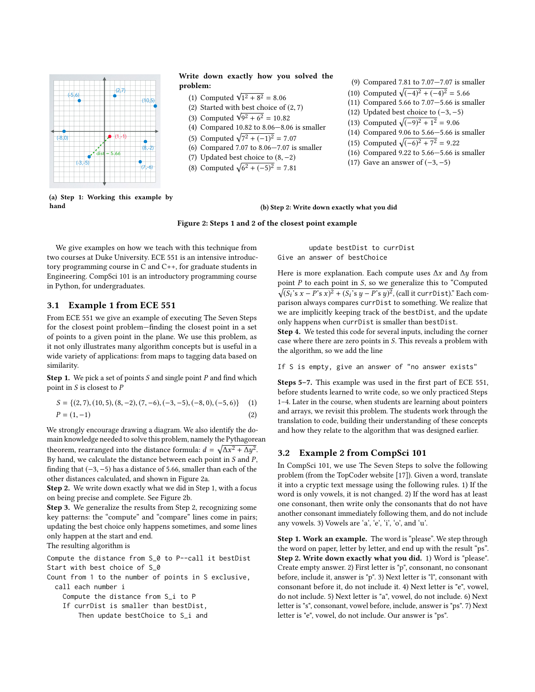<span id="page-2-0"></span>

## Write down exactly how you solved the problem:

- (1) Computed  $\sqrt{1^2 + 8^2} = 8.06$ <br>(2) Started with best choice of
- (2) Started with best choice of (2, <sup>7</sup>)
- (2) Started with best choice of (<br>
(3) Computed  $\sqrt{9^2 + 6^2} = 10.82$ <br>
(4) Compared 10.82 to 8.06–8.0
- (4) Compared 10.82 to 8.06—8.06 is smaller
- (5) Computed  $\sqrt{7^2 + (-1)^2} = 7.07$ <br>(6) Compared 7.07 to 8.06–7.07 is
- (6) Compared 7.07 to 8.06—7.07 is smaller
- (7) Updated best choice to (8, <sup>−</sup>2)
- (8) Computed  $\sqrt{6^2 + (-5)^2} = 7.81$
- (9) Compared 7.81 to 7.07—7.07 is smaller
- (10) Computed  $\sqrt{(-4)^2 + (-4)^2} = 5.66$ <br>(11) Compared 5.66 to 7.07–5.66 is sm
- (11) Compared 5.66 to 7.07—5.66 is smaller
- (12) Updated best choice to  $(-3, -5)$ 
	- (13) Computed  $\sqrt{(-9)^2 + 1^2} = 9.06$ <br>(14) Compared 9.06 to 5.66–5.66 is
	- (14) Compared 9.06 to 5.66—5.66 is smaller
	- (15) Computed  $\sqrt{(-6)^2 + 7^2} = 9.22$ <br>(16) Compared 9.22 to 5.66–5.66 is
	- (16) Compared 9.22 to 5.66—5.66 is smaller
	- (17) Gave an answer of  $(-3, -5)$

(a) Step 1: Working this example by hand

#### (b) Step 2: Write down exactly what you did

#### Figure 2: Steps 1 and 2 of the closest point example

We give examples on how we teach with this technique from two courses at Duke University. ECE 551 is an intensive introductory programming course in C and C++, for graduate students in Engineering. CompSci 101 is an introductory programming course in Python, for undergraduates.

## 3.1 Example 1 from ECE 551

From ECE 551 we give an example of executing The Seven Steps for the closest point problem—finding the closest point in a set of points to a given point in the plane. We use this problem, as it not only illustrates many algorithm concepts but is useful in a wide variety of applications: from maps to tagging data based on similarity.

**Step 1.** We pick a set of points  $S$  and single point  $P$  and find which point in  $S$  is closest to  $P$ 

$$
S = \{(2, 7), (10, 5), (8, -2), (7, -6), (-3, -5), (-8, 0), (-5, 6)\} \tag{1}
$$
  

$$
P = (1, -1) \tag{2}
$$

We strongly encourage drawing a diagram. We also identify the domain knowledge needed to solve this problem, namely the Pythagorean theorem, rearranged into the distance formula:  $d = \sqrt{\Delta x^2 + \Delta y^2}$ .<br>By hand, we calculate the distance between each point in S and P.  $By$  hand, we calculate the distance between each point in S and P,<br>finding that  $(-3, -5)$  has a distance of 5.66, smaller than each of the finding that (−3, <sup>−</sup>5) has a distance of 5.66, smaller than each of the other distances calculated, and shown in Figure [2a.](#page-2-0)

Step 2. We write down exactly what we did in Step 1, with a focus on being precise and complete. See Figure [2b.](#page-2-0)

Step 3. We generalize the results from Step 2, recognizing some key patterns: the "compute" and "compare" lines come in pairs; updating the best choice only happens sometimes, and some lines only happen at the start and end.

The resulting algorithm is

Compute the distance from S\_0 to P--call it bestDist Start with best choice of S\_0

Count from 1 to the number of points in S exclusive, call each number i

Compute the distance from S\_i to P

If currDist is smaller than bestDist, Then update bestChoice to S\_i and

update bestDist to currDist Give an answer of bestChoice

Here is more explanation. Each compute uses  $\Delta x$  and  $\Delta y$  from point  $P$  to each point in  $S$ , so we generalize this to "Computed  $\sqrt{(S_i's \ x - P's \ x)^2 + (S_i's \ y - P's \ y)^2}$ , (call it curr Dist)." Each com-<br>parison always compares curr Dist to something. We realize that parison always compares currDist to something. We realize that we are implicitly keeping track of the bestDist, and the update only happens when currDist is smaller than bestDist.

Step 4. We tested this code for several inputs, including the corner case where there are zero points in S. This reveals a problem with the algorithm, so we add the line

If S is empty, give an answer of "no answer exists"

Steps 5–7. This example was used in the first part of ECE 551, before students learned to write code, so we only practiced Steps 1–4. Later in the course, when students are learning about pointers and arrays, we revisit this problem. The students work through the translation to code, building their understanding of these concepts and how they relate to the algorithm that was designed earlier.

### 3.2 Example 2 from CompSci 101

In CompSci 101, we use The Seven Steps to solve the following problem (from the TopCoder website [\[17\]](#page-6-18)). Given a word, translate it into a cryptic text message using the following rules. 1) If the word is only vowels, it is not changed. 2) If the word has at least one consonant, then write only the consonants that do not have another consonant immediately following them, and do not include any vowels. 3) Vowels are 'a', 'e', 'i', 'o', and 'u'.

Step 1. Work an example. The word is "please". We step through the word on paper, letter by letter, and end up with the result "ps". Step 2. Write down exactly what you did. 1) Word is "please". Create empty answer. 2) First letter is "p", consonant, no consonant before, include it, answer is "p". 3) Next letter is "l", consonant with consonant before it, do not include it. 4) Next letter is "e", vowel, do not include. 5) Next letter is "a", vowel, do not include. 6) Next letter is "s", consonant, vowel before, include, answer is "ps". 7) Next letter is "e", vowel, do not include. Our answer is "ps".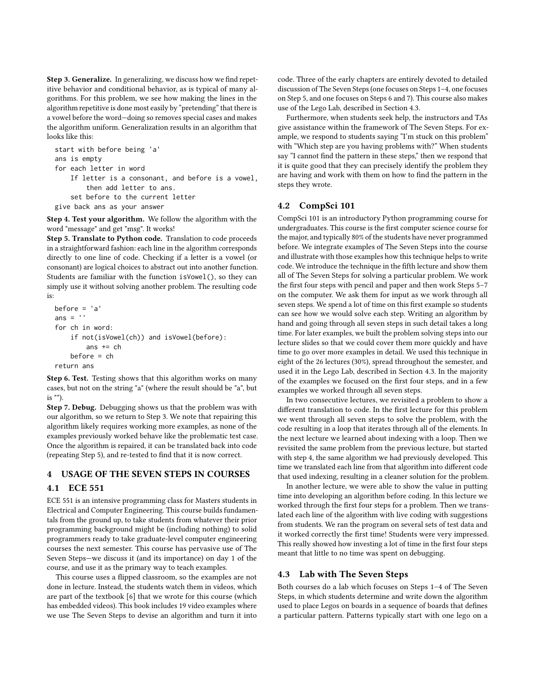Step 3. Generalize. In generalizing, we discuss how we find repetitive behavior and conditional behavior, as is typical of many algorithms. For this problem, we see how making the lines in the algorithm repetitive is done most easily by "pretending" that there is a vowel before the word—doing so removes special cases and makes the algorithm uniform. Generalization results in an algorithm that looks like this:

```
start with before being 'a'
ans is empty
for each letter in word
    If letter is a consonant, and before is a vowel,
        then add letter to ans.
    set before to the current letter
give back ans as your answer
```
Step 4. Test your algorithm. We follow the algorithm with the word "message" and get "msg". It works!

Step 5. Translate to Python code. Translation to code proceeds in a straightforward fashion: each line in the algorithm corresponds directly to one line of code. Checking if a letter is a vowel (or consonant) are logical choices to abstract out into another function. Students are familiar with the function isVowel(), so they can simply use it without solving another problem. The resulting code is:

```
before = 'a'
ans = \cdot \cdotfor ch in word:
    if not(isVowel(ch)) and isVowel(before):
        ans += ch
    before = ch
return ans
```
Step 6. Test. Testing shows that this algorithm works on many cases, but not on the string "a" (where the result should be "a", but is "").

Step 7. Debug. Debugging shows us that the problem was with our algorithm, so we return to Step 3. We note that repairing this algorithm likely requires working more examples, as none of the examples previously worked behave like the problematic test case. Once the algorithm is repaired, it can be translated back into code (repeating Step 5), and re-tested to find that it is now correct.

# <span id="page-3-0"></span>4 USAGE OF THE SEVEN STEPS IN COURSES

## 4.1 ECE 551

ECE 551 is an intensive programming class for Masters students in Electrical and Computer Engineering. This course builds fundamentals from the ground up, to take students from whatever their prior programming background might be (including nothing) to solid programmers ready to take graduate-level computer engineering courses the next semester. This course has pervasive use of The Seven Steps—we discuss it (and its importance) on day 1 of the course, and use it as the primary way to teach examples.

This course uses a flipped classroom, so the examples are not done in lecture. Instead, the students watch them in videos, which are part of the textbook [\[6\]](#page-6-19) that we wrote for this course (which has embedded videos). This book includes 19 video examples where we use The Seven Steps to devise an algorithm and turn it into code. Three of the early chapters are entirely devoted to detailed discussion of The Seven Steps (one focuses on Steps 1–4, one focuses on Step 5, and one focuses on Steps 6 and 7). This course also makes use of the Lego Lab, described in Section [4.3.](#page-3-1)

Furthermore, when students seek help, the instructors and TAs give assistance within the framework of The Seven Steps. For example, we respond to students saying "I'm stuck on this problem" with "Which step are you having problems with?" When students say "I cannot find the pattern in these steps," then we respond that it is quite good that they can precisely identify the problem they are having and work with them on how to find the pattern in the steps they wrote.

## 4.2 CompSci 101

CompSci 101 is an introductory Python programming course for undergraduates. This course is the first computer science course for the major, and typically 80% of the students have never programmed before. We integrate examples of The Seven Steps into the course and illustrate with those examples how this technique helps to write code. We introduce the technique in the fifth lecture and show them all of The Seven Steps for solving a particular problem. We work the first four steps with pencil and paper and then work Steps 5–7 on the computer. We ask them for input as we work through all seven steps. We spend a lot of time on this first example so students can see how we would solve each step. Writing an algorithm by hand and going through all seven steps in such detail takes a long time. For later examples, we built the problem solving steps into our lecture slides so that we could cover them more quickly and have time to go over more examples in detail. We used this technique in eight of the 26 lectures (30%), spread throughout the semester, and used it in the Lego Lab, described in Section [4.3.](#page-3-1) In the majority of the examples we focused on the first four steps, and in a few examples we worked through all seven steps.

In two consecutive lectures, we revisited a problem to show a different translation to code. In the first lecture for this problem we went through all seven steps to solve the problem, with the code resulting in a loop that iterates through all of the elements. In the next lecture we learned about indexing with a loop. Then we revisited the same problem from the previous lecture, but started with step 4, the same algorithm we had previously developed. This time we translated each line from that algorithm into different code that used indexing, resulting in a cleaner solution for the problem.

In another lecture, we were able to show the value in putting time into developing an algorithm before coding. In this lecture we worked through the first four steps for a problem. Then we translated each line of the algorithm with live coding with suggestions from students. We ran the program on several sets of test data and it worked correctly the first time! Students were very impressed. This really showed how investing a lot of time in the first four steps meant that little to no time was spent on debugging.

## <span id="page-3-1"></span>4.3 Lab with The Seven Steps

Both courses do a lab which focuses on Steps 1–4 of The Seven Steps, in which students determine and write down the algorithm used to place Legos on boards in a sequence of boards that defines a particular pattern. Patterns typically start with one lego on a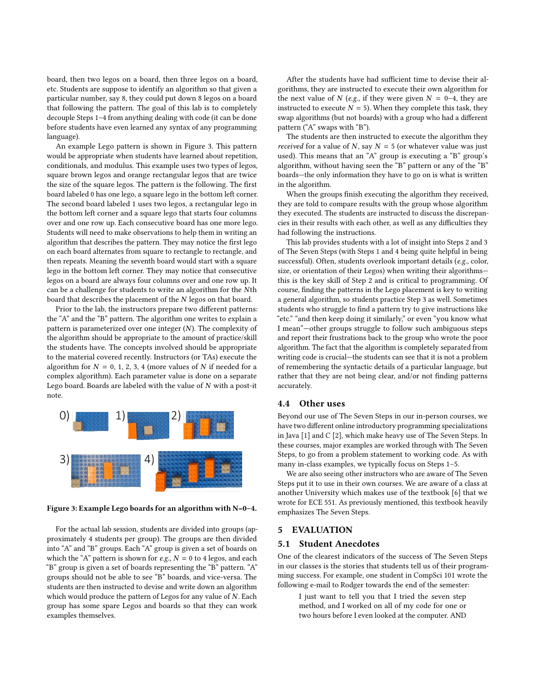board, then two legos on a board, then three legos on a board, etc. Students are suppose to identify an algorithm so that given a particular number, say 8, they could put down 8 legos on a board that following the pattern. The goal of this lab is to completely decouple Steps 1–4 from anything dealing with code (it can be done before students have even learned any syntax of any programming language).

An example Lego pattern is shown in Figure [3.](#page-4-1) This pattern would be appropriate when students have learned about repetition, conditionals, and modulus. This example uses two types of legos, square brown legos and orange rectangular legos that are twice the size of the square legos. The pattern is the following. The first board labeled 0 has one lego, a square lego in the bottom left corner. The second board labeled 1 uses two legos, a rectangular lego in the bottom left corner and a square lego that starts four columns over and one row up. Each consecutive board has one more lego. Students will need to make observations to help them in writing an algorithm that describes the pattern. They may notice the first lego on each board alternates from square to rectangle to rectangle, and then repeats. Meaning the seventh board would start with a square lego in the bottom left corner. They may notice that consecutive legos on a board are always four columns over and one row up. It can be a challenge for students to write an algorithm for the Nth board that describes the placement of the N legos on that board.

Prior to the lab, the instructors prepare two different patterns: the "A" and the "B" pattern. The algorithm one writes to explain a pattern is parameterized over one integer (N). The complexity of the algorithm should be appropriate to the amount of practice/skill the students have. The concepts involved should be appropriate to the material covered recently. Instructors (or TAs) execute the algorithm for  $N = 0, 1, 2, 3, 4$  (more values of N if needed for a complex algorithm). Each parameter value is done on a separate Lego board. Boards are labeled with the value of  $N$  with a post-it note.

<span id="page-4-1"></span>

Figure 3: Example Lego boards for an algorithm with N=0–4.

For the actual lab session, students are divided into groups (approximately 4 students per group). The groups are then divided into "A" and "B" groups. Each "A" group is given a set of boards on which the "A" pattern is shown for e.g.,  $N = 0$  to 4 legos, and each "B" group is given a set of boards representing the "B" pattern. "A" groups should not be able to see "B" boards, and vice-versa. The students are then instructed to devise and write down an algorithm which would produce the pattern of Legos for any value of N. Each group has some spare Legos and boards so that they can work examples themselves.

After the students have had sufficient time to devise their algorithms, they are instructed to execute their own algorithm for the next value of N (e.g., if they were given  $N = 0-4$ , they are instructed to execute  $N = 5$ ). When they complete this task, they swap algorithms (but not boards) with a group who had a different pattern ("A" swaps with "B").

The students are then instructed to execute the algorithm they received for a value of N, say  $N = 5$  (or whatever value was just used). This means that an "A" group is executing a "B" group's algorithm, without having seen the "B" pattern or any of the "B" boards—the only information they have to go on is what is written in the algorithm.

When the groups finish executing the algorithm they received, they are told to compare results with the group whose algorithm they executed. The students are instructed to discuss the discrepancies in their results with each other, as well as any difficulties they had following the instructions.

This lab provides students with a lot of insight into Steps 2 and 3 of The Seven Steps (with Steps 1 and 4 being quite helpful in being successful). Often, students overlook important details (e.g., color, size, or orientation of their Legos) when writing their algorithms this is the key skill of Step 2 and is critical to programming. Of course, finding the patterns in the Lego placement is key to writing a general algorithm, so students practice Step 3 as well. Sometimes students who struggle to find a pattern try to give instructions like "etc." "and then keep doing it similarly," or even "you know what I mean"—other groups struggle to follow such ambiguous steps and report their frustrations back to the group who wrote the poor algorithm. The fact that the algorithm is completely separated from writing code is crucial—the students can see that it is not a problem of remembering the syntactic details of a particular language, but rather that they are not being clear, and/or not finding patterns accurately.

## 4.4 Other uses

Beyond our use of The Seven Steps in our in-person courses, we have two different online introductory programming specializations in Java [\[1\]](#page-6-20) and C [\[2\]](#page-6-21), which make heavy use of The Seven Steps. In these courses, major examples are worked through with The Seven Steps, to go from a problem statement to working code. As with many in-class examples, we typically focus on Steps 1–5.

We are also seeing other instructors who are aware of The Seven Steps put it to use in their own courses. We are aware of a class at another University which makes use of the textbook [\[6\]](#page-6-19) that we wrote for ECE 551. As previously mentioned, this textbook heavily emphasizes The Seven Steps.

#### <span id="page-4-0"></span>5 EVALUATION

#### 5.1 Student Anecdotes

One of the clearest indicators of the success of The Seven Steps in our classes is the stories that students tell us of their programming success. For example, one student in CompSci 101 wrote the following e-mail to Rodger towards the end of the semester:

I just want to tell you that I tried the seven step method, and I worked on all of my code for one or two hours before I even looked at the computer. AND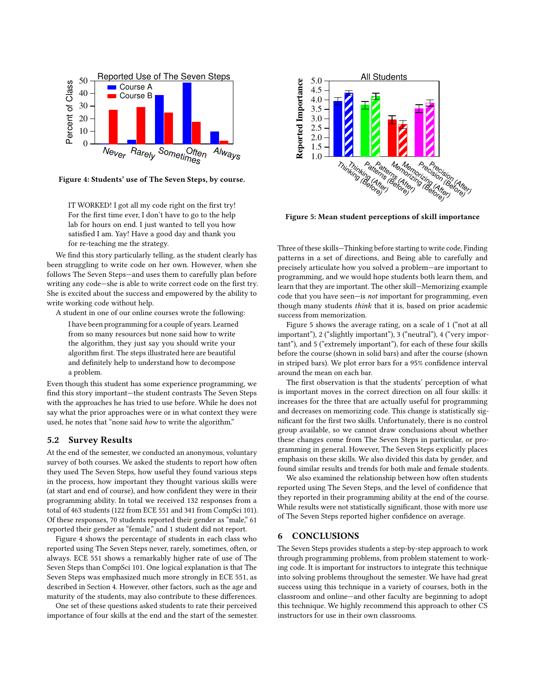<span id="page-5-1"></span>

Figure 4: Students' use of The Seven Steps, by course.

IT WORKED! I got all my code right on the first try! For the first time ever, I don't have to go to the help lab for hours on end. I just wanted to tell you how satisfied I am. Yay! Have a good day and thank you for re-teaching me the strategy.

We find this story particularly telling, as the student clearly has been struggling to write code on her own. However, when she follows The Seven Steps—and uses them to carefully plan before writing any code—she is able to write correct code on the first try. She is excited about the success and empowered by the ability to write working code without help.

A student in one of our online courses wrote the following:

I have been programming for a couple of years. Learned from so many resources but none said how to write the algorithm, they just say you should write your algorithm first. The steps illustrated here are beautiful and definitely help to understand how to decompose a problem.

Even though this student has some experience programming, we find this story important—the student contrasts The Seven Steps with the approaches he has tried to use before. While he does not say what the prior approaches were or in what context they were used, he notes that "none said how to write the algorithm."

#### 5.2 Survey Results

At the end of the semester, we conducted an anonymous, voluntary survey of both courses. We asked the students to report how often they used The Seven Steps, how useful they found various steps in the process, how important they thought various skills were (at start and end of course), and how confident they were in their programming ability. In total we received 132 responses from a total of 463 students (122 from ECE 551 and 341 from CompSci 101). Of these responses, 70 students reported their gender as "male," 61 reported their gender as "female," and 1 student did not report.

Figure [4](#page-5-1) shows the percentage of students in each class who reported using The Seven Steps never, rarely, sometimes, often, or always. ECE 551 shows a remarkably higher rate of use of The Seven Steps than CompSci 101. One logical explanation is that The Seven Steps was emphasized much more strongly in ECE 551, as described in Section [4.](#page-3-0) However, other factors, such as the age and maturity of the students, may also contribute to these differences.

One set of these questions asked students to rate their perceived importance of four skills at the end and the start of the semester.

<span id="page-5-2"></span>

Figure 5: Mean student perceptions of skill importance

Three of these skills—Thinking before starting to write code, Finding patterns in a set of directions, and Being able to carefully and precisely articulate how you solved a problem—are important to programming, and we would hope students both learn them, and learn that they are important. The other skill—Memorizing example code that you have seen—is not important for programming, even though many students think that it is, based on prior academic success from memorization.

Figure [5](#page-5-2) shows the average rating, on a scale of 1 ("not at all important"), 2 ("slightly important"), 3 ("neutral"), 4 ("very important"), and 5 ("extremely important"), for each of these four skills before the course (shown in solid bars) and after the course (shown in striped bars). We plot error bars for a 95% confidence interval around the mean on each bar.

The first observation is that the students' perception of what is important moves in the correct direction on all four skills: it increases for the three that are actually useful for programming and decreases on memorizing code. This change is statistically significant for the first two skills. Unfortunately, there is no control group available, so we cannot draw conclusions about whether these changes come from The Seven Steps in particular, or programming in general. However, The Seven Steps explicitly places emphasis on these skills. We also divided this data by gender, and found similar results and trends for both male and female students.

We also examined the relationship between how often students reported using The Seven Steps, and the level of confidence that they reported in their programming ability at the end of the course. While results were not statistically significant, those with more use of The Seven Steps reported higher confidence on average.

#### <span id="page-5-0"></span>6 CONCLUSIONS

The Seven Steps provides students a step-by-step approach to work through programming problems, from problem statement to working code. It is important for instructors to integrate this technique into solving problems throughout the semester. We have had great success using this technique in a variety of courses, both in the classroom and online—and other faculty are beginning to adopt this technique. We highly recommend this approach to other CS instructors for use in their own classrooms.